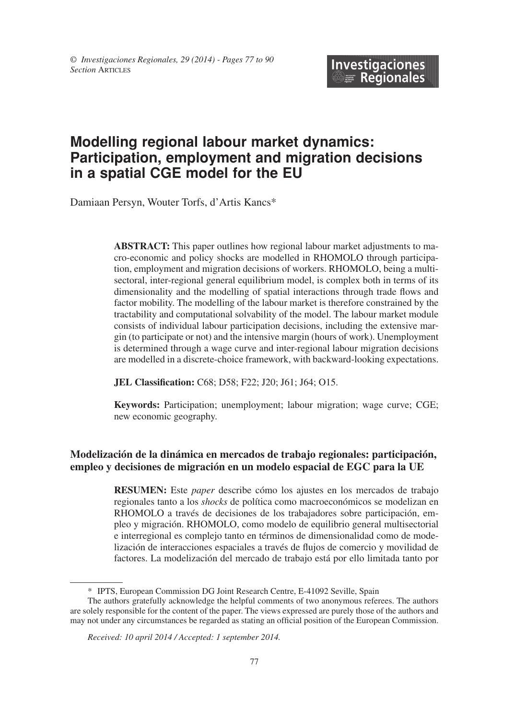# **Modelling regional labour market dynamics: Participation, employment and migration decisions in a spatial CGE model for the EU**

Damiaan Persyn, Wouter Torfs, d'Artis Kancs\*

**ABSTRACT:** This paper outlines how regional labour market adjustments to macro-economic and policy shocks are modelled in RHOMOLO through participation, employment and migration decisions of workers. RHOMOLO, being a multisectoral, inter-regional general equilibrium model, is complex both in terms of its dimensionality and the modelling of spatial interactions through trade flows and factor mobility. The modelling of the labour market is therefore constrained by the tractability and computational solvability of the model. The labour market module consists of individual labour participation decisions, including the extensive margin (to participate or not) and the intensive margin (hours of work). Unemployment is determined through a wage curve and inter-regional labour migration decisions are modelled in a discrete-choice framework, with backward-looking expectations.

**JEL Classification:** C68; D58; F22; J20; J61; J64; O15.

**Keywords:** Participation; unemployment; labour migration; wage curve; CGE; new economic geography.

### **Modelización de la dinámica en mercados de trabajo regionales: participación, empleo y decisiones de migración en un modelo espacial de EGC para la UE**

**RESUMEn:** Este *paper* describe cómo los ajustes en los mercados de trabajo regionales tanto a los *shocks* de política como macroeconómicos se modelizan en RHOMOLO a través de decisiones de los trabajadores sobre participación, empleo y migración. RHOMOLO, como modelo de equilibrio general multisectorial e interregional es complejo tanto en términos de dimensionalidad como de modelización de interacciones espaciales a través de flujos de comercio y movilidad de factores. La modelización del mercado de trabajo está por ello limitada tanto por

<sup>\*</sup> IPTS, European Commission DG Joint Research Centre, E-41092 Seville, Spain

The authors gratefully acknowledge the helpful comments of two anonymous referees. The authors are solely responsible for the content of the paper. The views expressed are purely those of the authors and may not under any circumstances be regarded as stating an official position of the European Commission.

*Received: 10 april 2014 / Accepted: 1 september 2014.*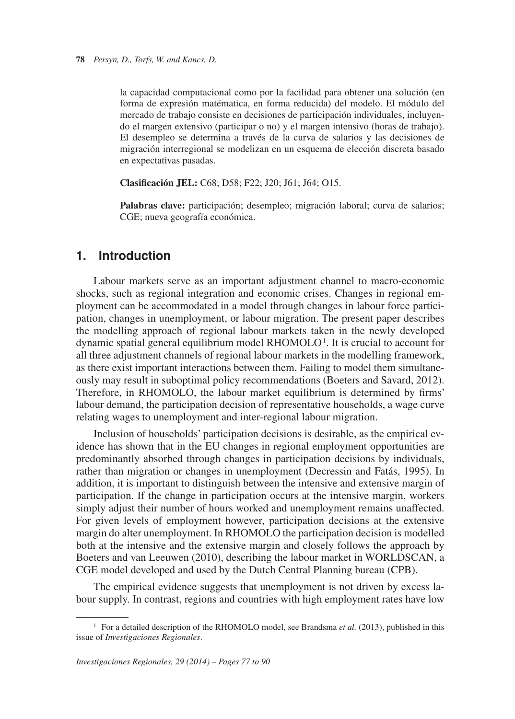la capacidad computacional como por la facilidad para obtener una solución (en forma de expresión matématica, en forma reducida) del modelo. El módulo del mercado de trabajo consiste en decisiones de participación individuales, incluyendo el margen extensivo (participar o no) y el margen intensivo (horas de trabajo). El desempleo se determina a través de la curva de salarios y las decisiones de migración interregional se modelizan en un esquema de elección discreta basado en expectativas pasadas.

**Clasificación JEL:** C68; D58; F22; J20; J61; J64; O15.

**Palabras clave:** participación; desempleo; migración laboral; curva de salarios; CGE; nueva geografía económica.

# **1. Introduction**

dynamic spatial general equilibrium model RHOMOLO<sup>1</sup>. It is crucial to account for Labour markets serve as an important adjustment channel to macro-economic shocks, such as regional integration and economic crises. Changes in regional employment can be accommodated in a model through changes in labour force participation, changes in unemployment, or labour migration. The present paper describes the modelling approach of regional labour markets taken in the newly developed all three adjustment channels of regional labour markets in the modelling framework, as there exist important interactions between them. Failing to model them simultaneously may result in suboptimal policy recommendations (Boeters and Savard, 2012). Therefore, in RHOMOLO, the labour market equilibrium is determined by firms' labour demand, the participation decision of representative households, a wage curve relating wages to unemployment and inter-regional labour migration.

Inclusion of households' participation decisions is desirable, as the empirical evidence has shown that in the EU changes in regional employment opportunities are predominantly absorbed through changes in participation decisions by individuals, rather than migration or changes in unemployment (Decressin and Fatás, 1995). In addition, it is important to distinguish between the intensive and extensive margin of participation. If the change in participation occurs at the intensive margin, workers simply adjust their number of hours worked and unemployment remains unaffected. For given levels of employment however, participation decisions at the extensive margin do alter unemployment. In RHOMOLO the participation decision is modelled both at the intensive and the extensive margin and closely follows the approach by Boeters and van Leeuwen (2010), describing the labour market in WORLDSCAN, a CGE model developed and used by the Dutch Central Planning bureau (CPB).

The empirical evidence suggests that unemployment is not driven by excess labour supply. In contrast, regions and countries with high employment rates have low

<sup>&</sup>lt;sup>1</sup> For a detailed description of the RHOMOLO model, see Brandsma *et al.* (2013), published in this issue of *Investigaciones Regionales*.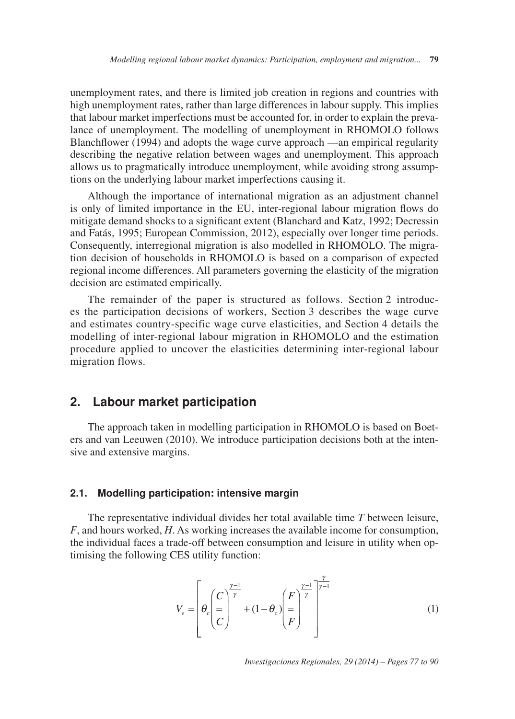unemployment rates, and there is limited job creation in regions and countries with high unemployment rates, rather than large differences in labour supply. This implies that labour market imperfections must be accounted for, in order to explain the prevalance of unemployment. The modelling of unemployment in RHOMOLO follows Blanchflower (1994) and adopts the wage curve approach —an empirical regularity describing the negative relation between wages and unemployment. This approach allows us to pragmatically introduce unemployment, while avoiding strong assumptions on the underlying labour market imperfections causing it.

Although the importance of international migration as an adjustment channel is only of limited importance in the EU, inter-regional labour migration flows do mitigate demand shocks to a significant extent (Blanchard and Katz, 1992; Decressin and Fatás, 1995; European Commission, 2012), especially over longer time periods. Consequently, interregional migration is also modelled in RHOMOLO. The migration decision of households in RHOMOLO is based on a comparison of expected regional income differences. All parameters governing the elasticity of the migration decision are estimated empirically.

The remainder of the paper is structured as follows. Section 2 introduces the participation decisions of workers, Section 3 describes the wage curve and estimates country-specific wage curve elasticities, and Section 4 details the modelling of inter-regional labour migration in RHOMOLO and the estimation procedure applied to uncover the elasticities determining inter-regional labour migration flows.

### **2. Labour market participation**

The approach taken in modelling participation in RHOMOLO is based on Boeters and van Leeuwen (2010). We introduce participation decisions both at the intensive and extensive margins.

#### **2.1. Modelling participation: intensive margin**

The representative individual divides her total available time *T* between leisure, *F*, and hours worked, *H*. As working increases the available income for consumption, the individual faces a trade-off between consumption and leisure in utility when optimising the following CES utility function:

$$
V_e = \left[\theta_c \left(\frac{C}{C}\right)^{\frac{\gamma-1}{\gamma}} + (1-\theta_c) \left(\frac{F}{F}\right)^{\frac{\gamma-1}{\gamma}}\right]^{\frac{\gamma}{\gamma-1}}
$$
(1)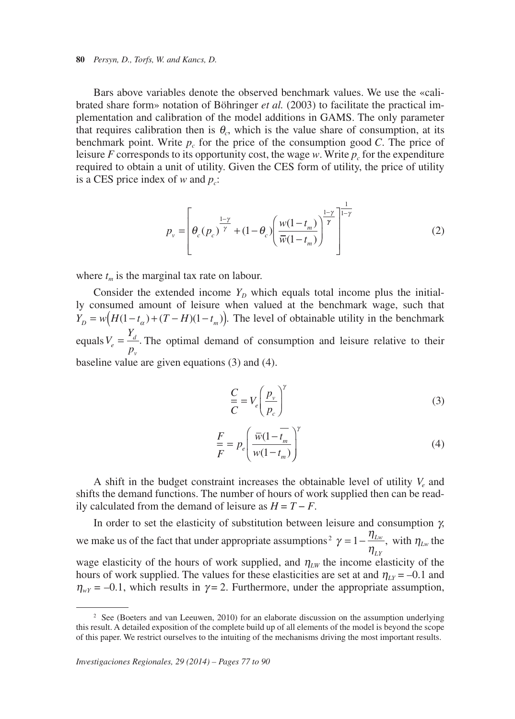**80** *Persyn, D., Torfs, W. and Kancs, D.*

Bars above variables denote the observed benchmark values. We use the «calibrated share form» notation of Böhringer *et al.* (2003) to facilitate the practical implementation and calibration of the model additions in GAMS. The only parameter that requires calibration then is  $\theta_c$ , which is the value share of consumption, at its benchmark point. Write  $p_c$  for the price of the consumption good *C*. The price of leisure *F* corresponds to its opportunity cost, the wage *w*. Write  $p_c$  for the expenditure required to obtain a unit of utility. Given the CES form of utility, the price of utility is a CES price index of  $w$  and  $p_c$ :

$$
p_{\nu} = \left[\theta_c(p_c)^{\frac{1-\gamma}{\gamma}} + (1-\theta_c) \left(\frac{w(1-t_m)}{\overline{w}(1-t_m)}\right)^{\frac{1-\gamma}{\gamma}}\right]^{\frac{1}{1-\gamma}}
$$
(2)

where  $t_m$  is the marginal tax rate on labour.

Consider the extended income  $Y_D$  which equals total income plus the initially consumed amount of leisure when valued at the benchmark wage, such that  $Y_D = w(H(1-t_\alpha) + (T-H)(1-t_m))$ . The level of obtainable utility in the benchmark equals  $V_e = \frac{Y_d}{p_v}$ . The optimal demand of consumption and leisure relative to their baseline value are given equations (3) and (4).

$$
\frac{C}{C} = V_e \left(\frac{p_v}{p_c}\right)^{\gamma}
$$
\n(3)

$$
\frac{F}{F} = p_e \left( \frac{\overline{w}(1 - \overline{t_m})}{w(1 - t_m)} \right)^{\gamma}
$$
\n(4)

A shift in the budget constraint increases the obtainable level of utility  $V_e$  and shifts the demand functions. The number of hours of work supplied then can be readily calculated from the demand of leisure as *H* = *T* − *F*.

In order to set the elasticity of substitution between leisure and consumption  $\gamma$ , we make us of the fact that under appropriate assumptions<sup>2</sup>  $\gamma = 1 - \frac{\eta_{Lw}}{g}$ , with  $\eta_{Lw}$  the  $\eta_{LY}$ wage elasticity of the hours of work supplied, and  $\eta_{LW}$  the income elasticity of the hours of work supplied. The values for these elasticities are set at and  $\eta_{LY} = -0.1$  and  $\eta_{wY}$  = -0.1, which results in  $\gamma$  = 2. Furthermore, under the appropriate assumption,

<sup>&</sup>lt;sup>2</sup> See (Boeters and van Leeuwen, 2010) for an elaborate discussion on the assumption underlying this result. A detailed exposition of the complete build up of all elements of the model is beyond the scope of this paper. We restrict ourselves to the intuiting of the mechanisms driving the most important results.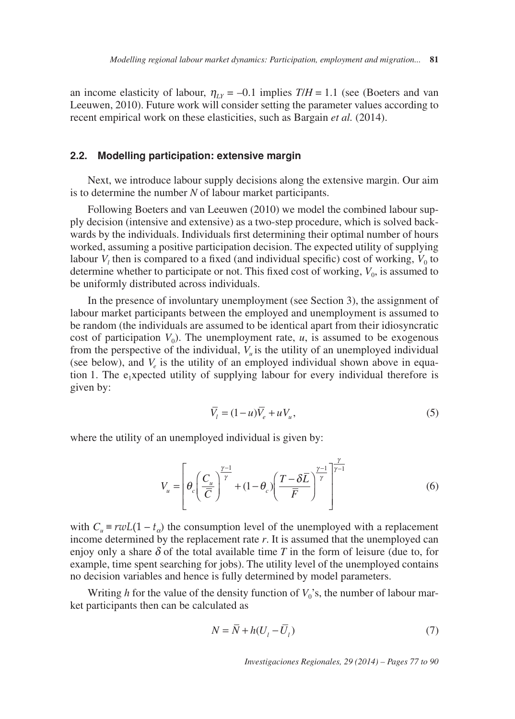an income elasticity of labour,  $\eta_{LY} = -0.1$  implies  $T/H = 1.1$  (see (Boeters and van Leeuwen, 2010). Future work will consider setting the parameter values according to recent empirical work on these elasticities, such as Bargain *et al.* (2014).

#### **2.2. Modelling participation: extensive margin**

Next, we introduce labour supply decisions along the extensive margin. Our aim is to determine the number *N* of labour market participants.

Following Boeters and van Leeuwen (2010) we model the combined labour supply decision (intensive and extensive) as a two-step procedure, which is solved backwards by the individuals. Individuals first determining their optimal number of hours worked, assuming a positive participation decision. The expected utility of supplying labour  $V_l$  then is compared to a fixed (and individual specific) cost of working,  $V_0$  to determine whether to participate or not. This fixed cost of working,  $V_0$ , is assumed to be uniformly distributed across individuals.

In the presence of involuntary unemployment (see Section 3), the assignment of labour market participants between the employed and unemployment is assumed to be random (the individuals are assumed to be identical apart from their idiosyncratic cost of participation  $V_0$ ). The unemployment rate,  $u$ , is assumed to be exogenous from the perspective of the individual,  $V<sub>u</sub>$  is the utility of an unemployed individual (see below), and  $V_e$  is the utility of an employed individual shown above in equation 1. The  $e_1x$  pected utility of supplying labour for every individual therefore is given by:

$$
\overline{V}_l = (1 - u)\overline{V}_e + uV_u,\tag{5}
$$

where the utility of an unemployed individual is given by:

$$
V_u = \left[ \theta_c \left( \frac{C_u}{\overline{C}} \right)^{\frac{\gamma - 1}{\gamma}} + (1 - \theta_c) \left( \frac{T - \delta \overline{L}}{\overline{F}} \right)^{\frac{\gamma - 1}{\gamma}} \right]^{\frac{\gamma}{\gamma - 1}} \tag{6}
$$

with  $C_u \equiv r w L(1 - t_o)$  the consumption level of the unemployed with a replacement income determined by the replacement rate *r*. It is assumed that the unemployed can enjoy only a share  $\delta$  of the total available time *T* in the form of leisure (due to, for example, time spent searching for jobs). The utility level of the unemployed contains no decision variables and hence is fully determined by model parameters.

Writing  $h$  for the value of the density function of  $V_0$ 's, the number of labour market participants then can be calculated as

$$
N = \overline{N} + h(U_l - \overline{U}_l)
$$
\n<sup>(7)</sup>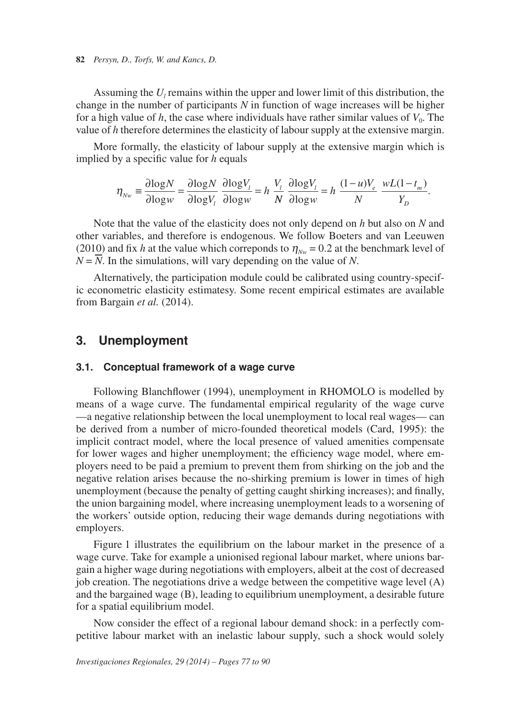**82** *Persyn, D., Torfs, W. and Kancs, D.*

Assuming the  $U_l$  remains within the upper and lower limit of this distribution, the change in the number of participants *N* in function of wage increases will be higher for a high value of *h*, the case where individuals have rather similar values of  $V_0$ . The value of *h* therefore determines the elasticity of labour supply at the extensive margin.

More formally, the elasticity of labour supply at the extensive margin which is implied by a specific value for *h* equals

$$
\eta_{Nw} \equiv \frac{\partial \log N}{\partial \log w} = \frac{\partial \log N}{\partial \log V_i} \frac{\partial \log V_i}{\partial \log w} = h \frac{V_i}{N} \frac{\partial \log V_i}{\partial \log w} = h \frac{(1-u)V_e}{N} \frac{wL(1-t_m)}{Y_D}.
$$

Note that the value of the elasticity does not only depend on *h* but also on *N* and other variables, and therefore is endogenous. We follow Boeters and van Leeuwen (2010) and fix *h* at the value which correponds to  $\eta_{Nw} = 0.2$  at the benchmark level of  $N = N$ . In the simulations, will vary depending on the value of *N*.

Alternatively, the participation module could be calibrated using country-specific econometric elasticity estimatesy. Some recent empirical estimates are available from Bargain *et al.* (2014).

## **3. Unemployment**

#### **3.1. Conceptual framework of a wage curve**

Following Blanchflower (1994), unemployment in RHOMOLO is modelled by means of a wage curve. The fundamental empirical regularity of the wage curve —a negative relationship between the local unemployment to local real wages— can be derived from a number of micro-founded theoretical models (Card, 1995): the implicit contract model, where the local presence of valued amenities compensate for lower wages and higher unemployment; the efficiency wage model, where employers need to be paid a premium to prevent them from shirking on the job and the negative relation arises because the no-shirking premium is lower in times of high unemployment (because the penalty of getting caught shirking increases); and finally, the union bargaining model, where increasing unemployment leads to a worsening of the workers' outside option, reducing their wage demands during negotiations with employers.

Figure 1 illustrates the equilibrium on the labour market in the presence of a wage curve. Take for example a unionised regional labour market, where unions bargain a higher wage during negotiations with employers, albeit at the cost of decreased job creation. The negotiations drive a wedge between the competitive wage level (A) and the bargained wage (B), leading to equilibrium unemployment, a desirable future for a spatial equilibrium model.

Now consider the effect of a regional labour demand shock: in a perfectly competitive labour market with an inelastic labour supply, such a shock would solely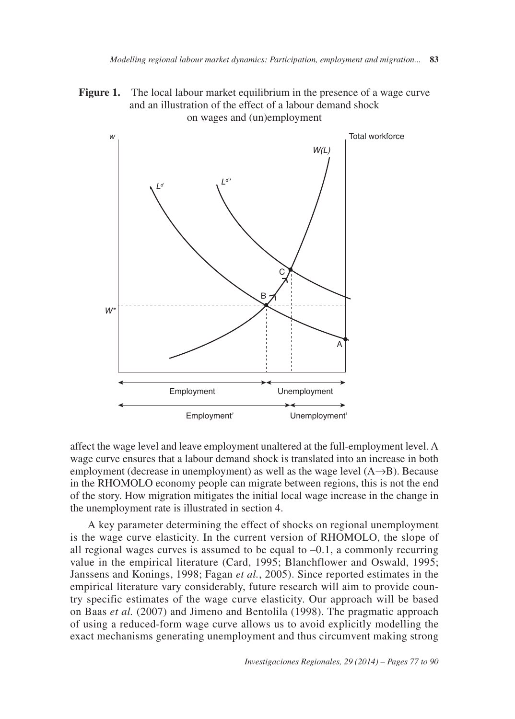**Figure 1.** The local labour market equilibrium in the presence of a wage curve and an illustration of the effect of a labour demand shock on wages and (un)employment



affect the wage level and leave employment unaltered at the full-employment level. A wage curve ensures that a labour demand shock is translated into an increase in both employment (decrease in unemployment) as well as the wage level  $(A\rightarrow B)$ . Because in the RHOMOLO economy people can migrate between regions, this is not the end of the story. How migration mitigates the initial local wage increase in the change in the unemployment rate is illustrated in section 4.

A key parameter determining the effect of shocks on regional unemployment is the wage curve elasticity. In the current version of RHOMOLO, the slope of all regional wages curves is assumed to be equal to  $-0.1$ , a commonly recurring value in the empirical literature (Card, 1995; Blanchflower and Oswald, 1995; Janssens and Konings, 1998; Fagan *et al.*, 2005). Since reported estimates in the empirical literature vary considerably, future research will aim to provide country specific estimates of the wage curve elasticity. Our approach will be based on Baas *et al.* (2007) and Jimeno and Bentolila (1998). The pragmatic approach of using a reduced-form wage curve allows us to avoid explicitly modelling the exact mechanisms generating unemployment and thus circumvent making strong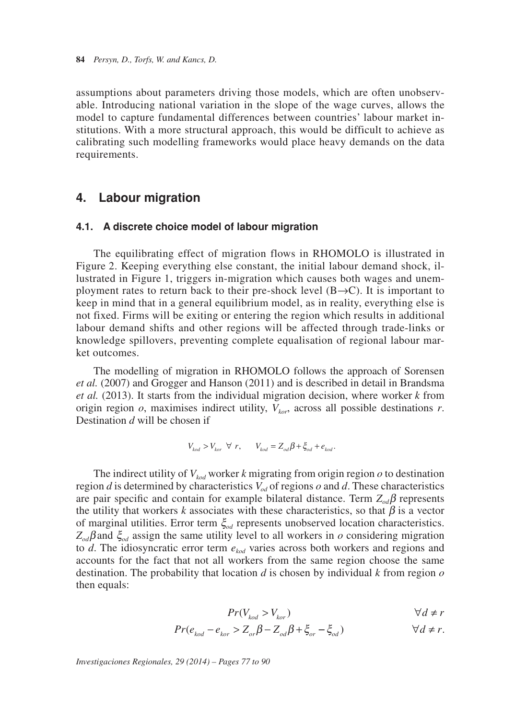assumptions about parameters driving those models, which are often unobservable. Introducing national variation in the slope of the wage curves, allows the model to capture fundamental differences between countries' labour market institutions. With a more structural approach, this would be difficult to achieve as calibrating such modelling frameworks would place heavy demands on the data requirements.

## **4. Labour migration**

#### **4.1. A discrete choice model of labour migration**

The equilibrating effect of migration flows in RHOMOLO is illustrated in Figure 2. Keeping everything else constant, the initial labour demand shock, il lustrated in Figure 1, triggers in-migration which causes both wages and unemployment rates to return back to their pre-shock level  $(B\rightarrow C)$ . It is important to keep in mind that in a general equilibrium model, as in reality, everything else is not fixed. Firms will be exiting or entering the region which results in additional labour demand shifts and other regions will be affected through trade-links or knowledge spillovers, preventing complete equalisation of regional labour market outcomes.

The modelling of migration in RHOMOLO follows the approach of Sorensen *et al.* (2007) and Grogger and Hanson (2011) and is described in detail in Brandsma *et al.* (2013). It starts from the individual migration decision, where worker *k* from origin region  $o$ , maximises indirect utility,  $V_{tor}$ , across all possible destinations  $r$ . Destination *d* will be chosen if

$$
V_{kod} > V_{kor} \ \forall \ r, \qquad V_{kod} = Z_{od} \beta + \xi_{od} + e_{kod}.
$$

The indirect utility of  $V_{kod}$  worker *k* migrating from origin region  $o$  to destination region *d* is determined by characteristics  $V_{od}$  of regions *o* and *d*. These characteristics are pair specific and contain for example bilateral distance. Term  $Z_{od}\beta$  represents the utility that workers  $k$  associates with these characteristics, so that  $\beta$  is a vector of marginal utilities. Error term ξ*od* represents unobserved location characteristics. *Zod*β and ξ*od* assign the same utility level to all workers in *o* considering migration to *d*. The idiosyncratic error term *ekod* varies across both workers and regions and accounts for the fact that not all workers from the same region choose the same destination. The probability that location *d* is chosen by individual *k* from region *o* then equals:

$$
Pr(V_{kod} > V_{kor}) \qquad \qquad \forall d \neq r
$$

$$
Pr(e_{kod} - e_{kor} > Z_{or} \beta - Z_{od} \beta + \xi_{or} - \xi_{od}) \qquad \forall d \neq r.
$$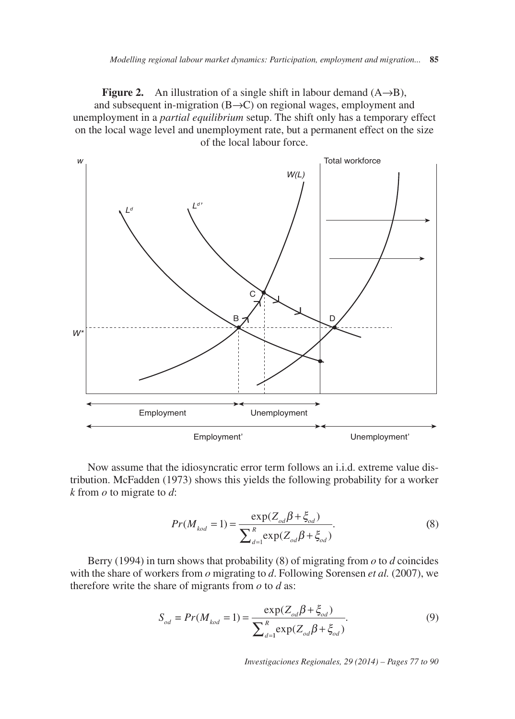**Figure 2.** An illustration of a single shift in labour demand  $(A \rightarrow B)$ , and subsequent in-migration (B→C) on regional wages, employment and unemployment in a *partial equilibrium* setup. The shift only has a temporary effect on the local wage level and unemployment rate, but a permanent effect on the size of the local labour force.



Now assume that the idiosyncratic error term follows an i.i.d. extreme value distribution. McFadden (1973) shows this yields the following probability for a worker *k* from *o* to migrate to *d*:

$$
Pr(M_{kod} = 1) = \frac{\exp(Z_{od}\beta + \xi_{od})}{\sum_{d=1}^{R} \exp(Z_{od}\beta + \xi_{od})}.
$$
 (8)

Berry (1994) in turn shows that probability (8) of migrating from *o* to *d* coincides with the share of workers from *o* migrating to *d*. Following Sorensen *et al.* (2007), we therefore write the share of migrants from *o* to *d* as:

$$
S_{od} = Pr(M_{kod} = 1) = \frac{\exp(Z_{od}\beta + \xi_{od})}{\sum_{d=1}^{R} \exp(Z_{od}\beta + \xi_{od})}.
$$
 (9)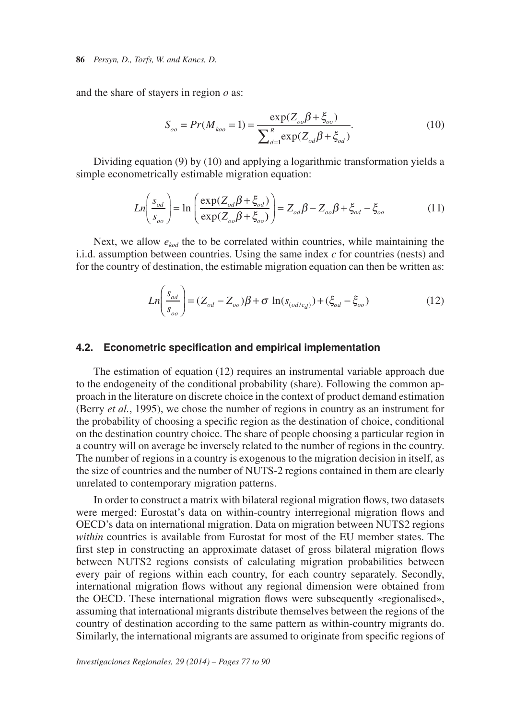and the share of stayers in region *o* as:

$$
S_{oo} = Pr(M_{koo} = 1) = \frac{\exp(Z_{oo}\beta + \xi_{oo})}{\sum_{d=1}^{R} \exp(Z_{od}\beta + \xi_{od})}.
$$
 (10)

Dividing equation (9) by (10) and applying a logarithmic transformation yields a simple econometrically estimable migration equation:

$$
Ln\left(\frac{s_{od}}{s_{oo}}\right) = \ln\left(\frac{\exp(Z_{od}\beta + \xi_{od})}{\exp(Z_{oo}\beta + \xi_{oo})}\right) = Z_{od}\beta - Z_{oo}\beta + \xi_{od} - \xi_{oo}
$$
(11)

Next, we allow  $e_{kod}$  the to be correlated within countries, while maintaining the i.i.d. assumption between countries. Using the same index *c* for countries (nests) and for the country of destination, the estimable migration equation can then be written as:

$$
Ln\left(\frac{s_{od}}{s_{oo}}\right) = (Z_{od} - Z_{oo})\beta + \sigma ln(s_{(od/c_d)}) + (\xi_{od} - \xi_{oo})
$$
\n(12)

#### **4.2. Econometric specification and empirical implementation**

The estimation of equation (12) requires an instrumental variable approach due to the endogeneity of the conditional probability (share). Following the common approach in the literature on discrete choice in the context of product demand estimation (Berry *et al.*, 1995), we chose the number of regions in country as an instrument for the probability of choosing a specific region as the destination of choice, conditional on the destination country choice. The share of people choosing a particular region in a country will on average be inversely related to the number of regions in the country. The number of regions in a country is exogenous to the migration decision in itself, as the size of countries and the number of NUTS-2 regions contained in them are clearly unrelated to contemporary migration patterns.

In order to construct a matrix with bilateral regional migration flows, two datasets were merged: Eurostat's data on within-country interregional migration flows and OECD's data on international migration. Data on migration between NUTS2 regions *within* countries is available from Eurostat for most of the EU member states. The first step in constructing an approximate dataset of gross bilateral migration flows between NUTS2 regions consists of calculating migration probabilities between every pair of regions within each country, for each country separately. Secondly, international migration flows without any regional dimension were obtained from the OECD. These international migration flows were subsequently «regionalised», assuming that international migrants distribute themselves between the regions of the country of destination according to the same pattern as within-country migrants do. Similarly, the international migrants are assumed to originate from specific regions of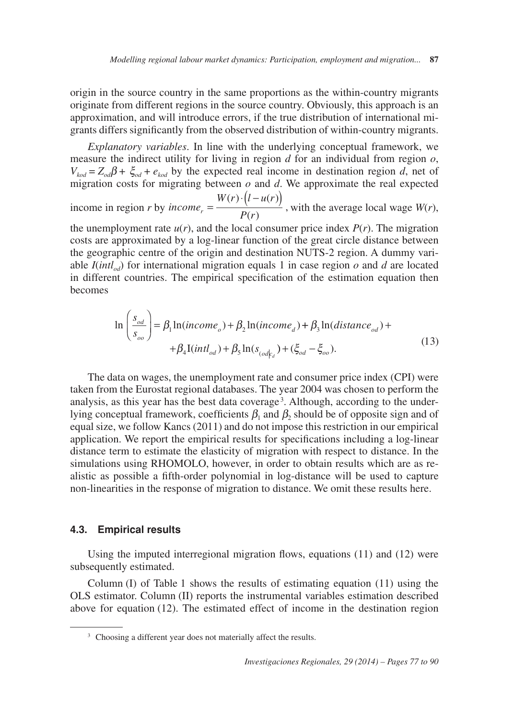origin in the source country in the same proportions as the within-country migrants originate from different regions in the source country. Obviously, this approach is an approximation, and will introduce errors, if the true distribution of international migrants differs significantly from the observed distribution of within-country migrants.

*Explanatory variables*. In line with the underlying conceptual framework, we measure the indirect utility for living in region *d* for an individual from region *o*,  $V_{kod} = Z_{od}\beta + \xi_{od} + e_{kod}$  by the expected real income in destination region *d*, net of migration costs for migrating between *o* and *d*. We approximate the real expected

income in region *r* by *income*  $W(r) \cdot (l - u(r))$  $P_r = \frac{W(r) \cdot (l - u(r))}{P(r)}$ , with the average local wage *W*(*r*),

the unemployment rate  $u(r)$ , and the local consumer price index  $P(r)$ . The migration costs are approximated by a log-linear function of the great circle distance between the geographic centre of the origin and destination NUTS-2 region. A dummy variable  $I(intl_{od})$  for international migration equals 1 in case region  $o$  and  $d$  are located in different countries. The empirical specification of the estimation equation then becomes

$$
\ln\left(\frac{s_{od}}{s_{oo}}\right) = \beta_1 \ln(income_o) + \beta_2 \ln(income_d) + \beta_3 \ln(distance_{od}) ++ \beta_4 I(intl_{od}) + \beta_5 \ln(s_{(od|\epsilon_d)} + (\xi_{od} - \xi_{oo}).
$$
\n(13)

analysis, as this year has the best data coverage<sup>3</sup>. Although, according to the under-The data on wages, the unemployment rate and consumer price index (CPI) were taken from the Eurostat regional databases. The year 2004 was chosen to perform the lying conceptual framework, coefficients  $\beta_1$  and  $\beta_2$  should be of opposite sign and of equal size, we follow Kancs (2011) and do not impose this restriction in our empirical application. We report the empirical results for specifications including a log-linear distance term to estimate the elasticity of migration with respect to distance. In the simulations using RHOMOLO, however, in order to obtain results which are as realistic as possible a fifth-order polynomial in log-distance will be used to capture non-linearities in the response of migration to distance. We omit these results here.

#### **4.3. Empirical results**

Using the imputed interregional migration flows, equations (11) and (12) were subsequently estimated.

 Column (I) of Table 1 shows the results of estimating equation (11) using the OLS estimator. Column (II) reports the instrumental variables estimation described above for equation (12). The estimated effect of income in the destination region

<sup>&</sup>lt;sup>3</sup> Choosing a different year does not materially affect the results.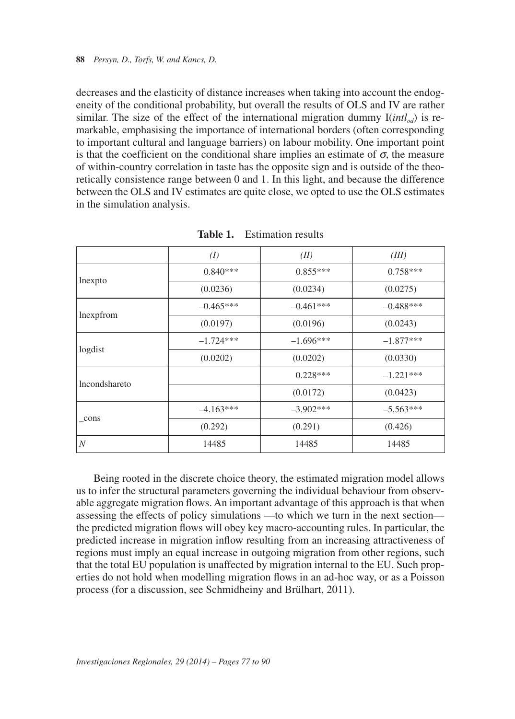decreases and the elasticity of distance increases when taking into account the endogeneity of the conditional probability, but overall the results of OLS and IV are rather similar. The size of the effect of the international migration dummy  $I(intl_{od})$  is remarkable, emphasising the importance of international borders (often corresponding to important cultural and language barriers) on labour mobility. One important point is that the coefficient on the conditional share implies an estimate of  $\sigma$ , the measure of within-country correlation in taste has the opposite sign and is outside of the theoretically consistence range between 0 and 1. In this light, and because the difference between the OLS and IV estimates are quite close, we opted to use the OLS estimates in the simulation analysis.

|                  | (I)         | (II)         | (III)        |
|------------------|-------------|--------------|--------------|
| lnexpto          | $0.840***$  | $0.855***$   | $0.758***$   |
|                  | (0.0236)    | (0.0234)     | (0.0275)     |
| lnexpfrom        | $-0.465***$ | $-0.461***$  | $-0.488$ *** |
|                  | (0.0197)    | (0.0196)     | (0.0243)     |
| logdist          | $-1.724***$ | $-1.696***$  | $-1.877***$  |
|                  | (0.0202)    | (0.0202)     | (0.0330)     |
| lncondshareto    |             | $0.228***$   | $-1.221***$  |
|                  |             | (0.0172)     | (0.0423)     |
| _cons            | $-4.163***$ | $-3.902$ *** | $-5.563***$  |
|                  | (0.292)     | (0.291)      | (0.426)      |
| $\boldsymbol{N}$ | 14485       | 14485        | 14485        |

**Table 1.** Estimation results

Being rooted in the discrete choice theory, the estimated migration model allows us to infer the structural parameters governing the individual behaviour from observable aggregate migration flows. An important advantage of this approach is that when assessing the effects of policy simulations —to which we turn in the next section the predicted migration flows will obey key macro-accounting rules. In particular, the predicted increase in migration inflow resulting from an increasing attractiveness of regions must imply an equal increase in outgoing migration from other regions, such that the total EU population is unaffected by migration internal to the EU. Such properties do not hold when modelling migration flows in an ad-hoc way, or as a Poisson process (for a discussion, see Schmidheiny and Brülhart, 2011).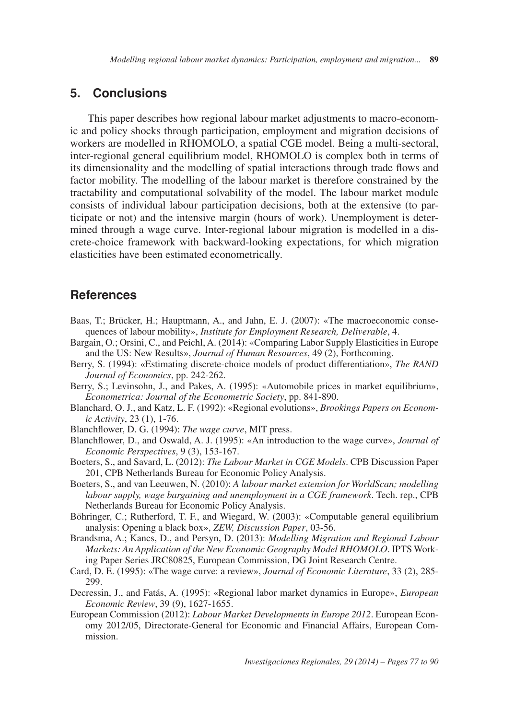# **5. Conclusions**

This paper describes how regional labour market adjustments to macro-economic and policy shocks through participation, employment and migration decisions of workers are modelled in RHOMOLO, a spatial CGE model. Being a multi-sectoral, inter-regional general equilibrium model, RHOMOLO is complex both in terms of its dimensionality and the modelling of spatial interactions through trade flows and factor mobility. The modelling of the labour market is therefore constrained by the tractability and computational solvability of the model. The labour market module consists of individual labour participation decisions, both at the extensive (to participate or not) and the intensive margin (hours of work). Unemployment is determined through a wage curve. Inter-regional labour migration is modelled in a discrete-choice framework with backward-looking expectations, for which migration elasticities have been estimated econometrically.

# **References**

- Baas, T.; Brücker, H.; Hauptmann, A., and Jahn, E. J. (2007): «The macroeconomic consequences of labour mobility», *Institute for Employment Research, Deliverable*, 4.
- Bargain, O.; Orsini, C., and Peichl, A. (2014): «Comparing Labor Supply Elasticities in Europe and the US: New Results», *Journal of Human Resources*, 49 (2), Forthcoming.
- Berry, S. (1994): «Estimating discrete-choice models of product differentiation», *The RAND Journal of Economics*, pp. 242-262.
- Berry, S.; Levinsohn, J., and Pakes, A. (1995): «Automobile prices in market equilibrium», *Econometrica: Journal of the Econometric Society*, pp. 841-890.
- Blanchard, O. J., and Katz, L. F. (1992): «Regional evolutions», *Brookings Papers on Economic Activity*, 23 (1), 1-76.
- Blanchflower, D. G. (1994): *The wage curve*, MIT press.
- Blanchflower, D., and Oswald, A. J. (1995): «An introduction to the wage curve», *Journal of Economic Perspectives*, 9 (3), 153-167.
- Boeters, S., and Savard, L. (2012): *The Labour Market in CGE Models*. CPB Discussion Paper 201, CPB Netherlands Bureau for Economic Policy Analysis.
- Boeters, S., and van Leeuwen, N. (2010): *A labour market extension for WorldScan; modelling labour supply, wage bargaining and unemployment in a CGE framework*. Tech. rep., CPB Netherlands Bureau for Economic Policy Analysis.
- Böhringer, C.; Rutherford, T. F., and Wiegard, W. (2003): «Computable general equilibrium analysis: Opening a black box», *ZEW, Discussion Paper*, 03-56.
- Brandsma, A.; Kancs, D., and Persyn, D. (2013): *Modelling Migration and Regional Labour Markets: An Application of the New Economic Geography Model RHOMOLO*. IPTS Working Paper Series JRC80825, European Commission, DG Joint Research Centre.
- Card, D. E. (1995): «The wage curve: a review», *Journal of Economic Literature*, 33 (2), 285 299.
- Decressin, J., and Fatás, A. (1995): «Regional labor market dynamics in Europe», *European Economic Review*, 39 (9), 1627-1655.
- European Commission (2012): *Labour Market Developments in Europe 2012*. European Economy 2012/05, Directorate-General for Economic and Financial Affairs, European Commission.